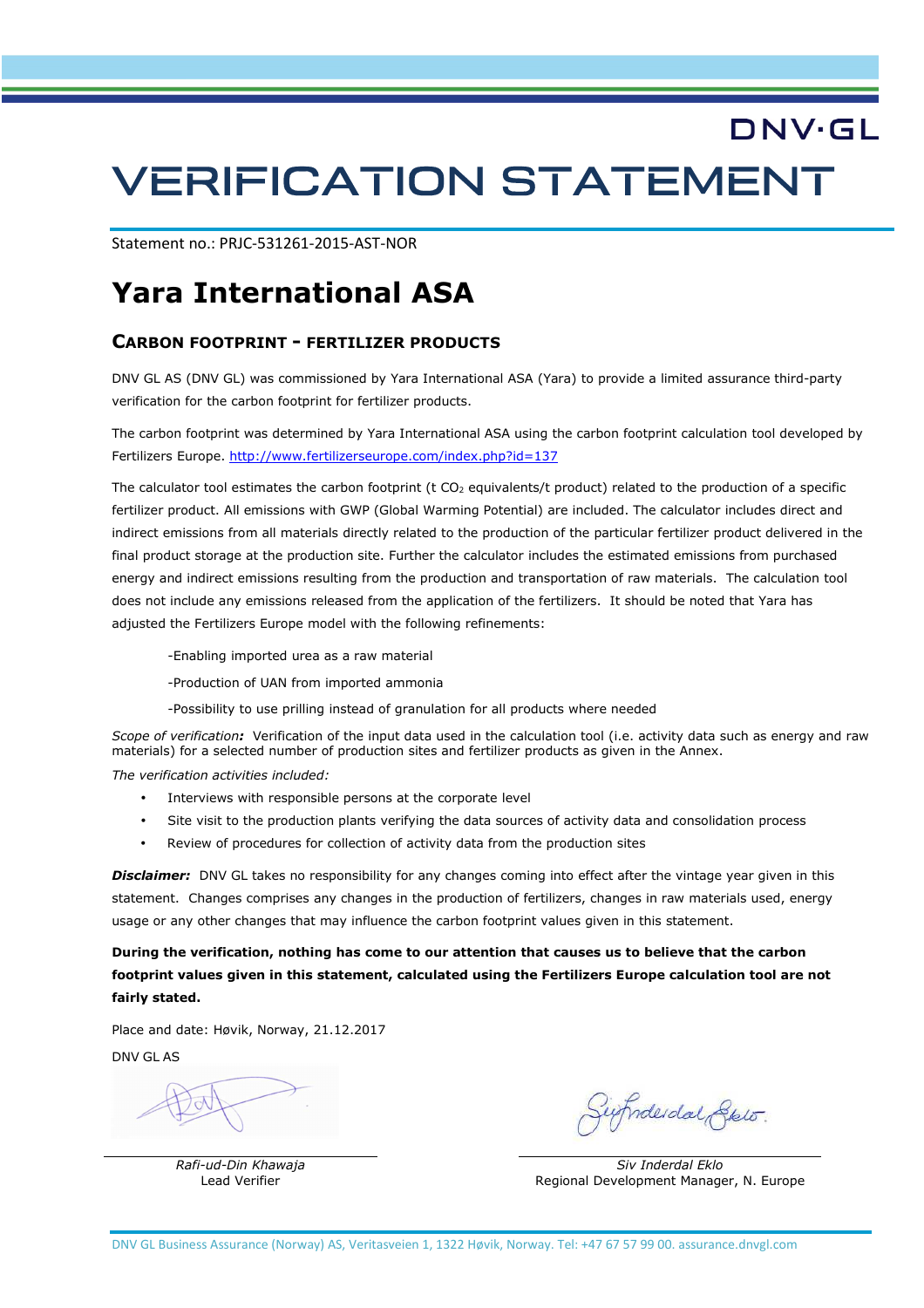# DNV·GL VERIFICATION STATEMENT

Statement no.: PRJC-531261-2015-AST-NOR

## **Yara International ASA**

#### **CARBON FOOTPRINT - FERTILIZER PRODUCTS**

DNV GL AS (DNV GL) was commissioned by Yara International ASA (Yara) to provide a limited assurance third-party verification for the carbon footprint for fertilizer products.

The carbon footprint was determined by Yara International ASA using the carbon footprint calculation tool developed by Fertilizers Europe. http://www.fertilizerseurope.com/index.php?id=137

The calculator tool estimates the carbon footprint (t CO<sub>2</sub> equivalents/t product) related to the production of a specific fertilizer product. All emissions with GWP (Global Warming Potential) are included. The calculator includes direct and indirect emissions from all materials directly related to the production of the particular fertilizer product delivered in the final product storage at the production site. Further the calculator includes the estimated emissions from purchased energy and indirect emissions resulting from the production and transportation of raw materials. The calculation tool does not include any emissions released from the application of the fertilizers. It should be noted that Yara has adjusted the Fertilizers Europe model with the following refinements:

- -Enabling imported urea as a raw material
- -Production of UAN from imported ammonia
- -Possibility to use prilling instead of granulation for all products where needed

*Scope of verification:* Verification of the input data used in the calculation tool (i.e. activity data such as energy and raw materials) for a selected number of production sites and fertilizer products as given in the Annex.

*The verification activities included:* 

- Interviews with responsible persons at the corporate level
- Site visit to the production plants verifying the data sources of activity data and consolidation process
- Review of procedures for collection of activity data from the production sites

*Disclaimer:* DNV GL takes no responsibility for any changes coming into effect after the vintage year given in this statement. Changes comprises any changes in the production of fertilizers, changes in raw materials used, energy usage or any other changes that may influence the carbon footprint values given in this statement.

**During the verification, nothing has come to our attention that causes us to believe that the carbon footprint values given in this statement, calculated using the Fertilizers Europe calculation tool are not fairly stated.** 

Place and date: Høvik, Norway, 21.12.2017

DNV GL AS

Inderdal Stelo.

*Rafi-ud-Din Khawaja Siv Inderdal Eklo*  Lead Verifier **Regional Development Manager, N. Europe**